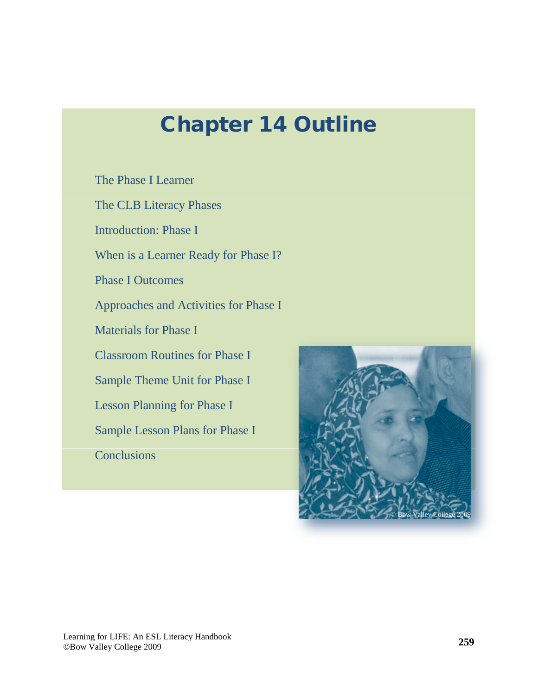# Chapter 14 Outline

[The Phase I Learner](#page-2-0)

[The CLB Literacy Phases](#page-3-0)

[Introduction: Phase I](#page-4-0)

[When is a Learner Ready for Phase I?](#page-7-0)

[Phase I Outcomes](#page-7-0)

[Approaches and Activities for Phase I](#page-10-0)

[Materials for Phase I](#page-13-0)

[Classroom Routines for Phase I](#page-19-0)

[Sample Theme Unit for Phase I](#page-20-0)

[Lesson Planning for Phase I](#page-24-0)

[Sample Lesson Plans for Phase I](#page-25-0)

**[Conclusions](#page-29-0)** 

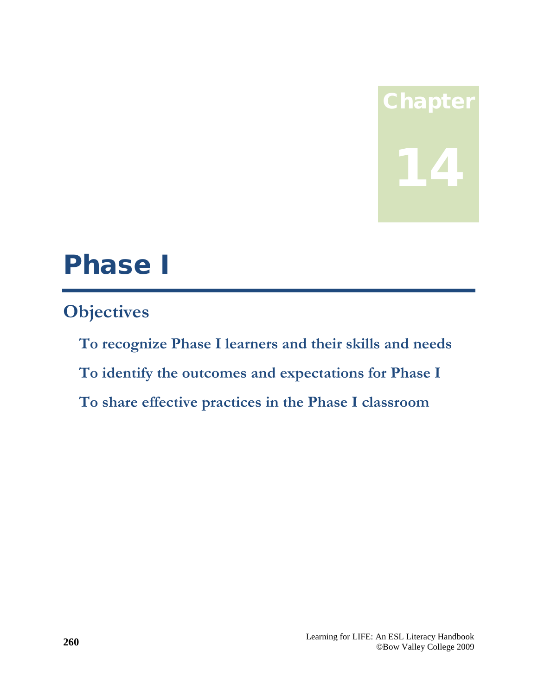# Chapter 14

# Phase I

# **Objectives**

**To recognize Phase I learners and their skills and needs To identify the outcomes and expectations for Phase I To share effective practices in the Phase I classroom**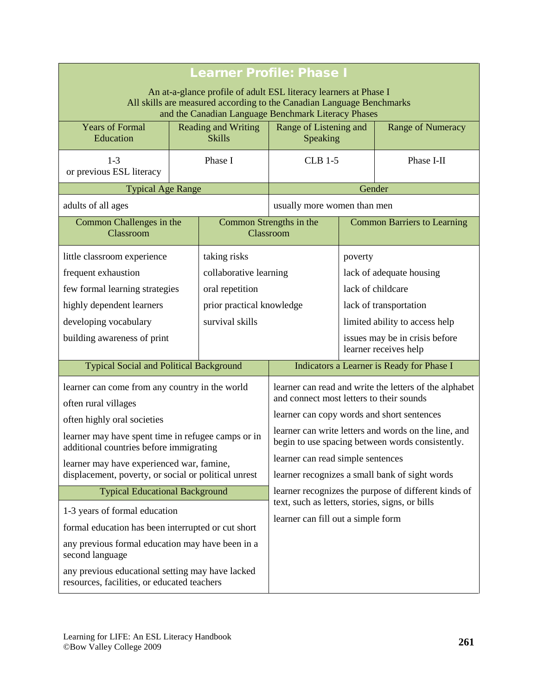<span id="page-2-0"></span>

| <b>Learner Profile: Phase I</b>                                                                                                                                                                  |                                             |                                                                                                          |                                            |                                                        |                                                         |
|--------------------------------------------------------------------------------------------------------------------------------------------------------------------------------------------------|---------------------------------------------|----------------------------------------------------------------------------------------------------------|--------------------------------------------|--------------------------------------------------------|---------------------------------------------------------|
| An at-a-glance profile of adult ESL literacy learners at Phase I<br>All skills are measured according to the Canadian Language Benchmarks<br>and the Canadian Language Benchmark Literacy Phases |                                             |                                                                                                          |                                            |                                                        |                                                         |
| <b>Years of Formal</b><br>Education                                                                                                                                                              | <b>Reading and Writing</b><br><b>Skills</b> |                                                                                                          | Range of Listening and<br>Speaking         |                                                        | <b>Range of Numeracy</b>                                |
| $1-3$<br>or previous ESL literacy                                                                                                                                                                | Phase I                                     |                                                                                                          | $CLB$ 1-5                                  |                                                        | Phase I-II                                              |
| <b>Typical Age Range</b>                                                                                                                                                                         |                                             |                                                                                                          |                                            | Gender                                                 |                                                         |
| adults of all ages                                                                                                                                                                               |                                             |                                                                                                          | usually more women than men                |                                                        |                                                         |
| Common Challenges in the<br>Classroom                                                                                                                                                            |                                             | Common Strengths in the                                                                                  | Classroom                                  |                                                        | <b>Common Barriers to Learning</b>                      |
| little classroom experience                                                                                                                                                                      |                                             | taking risks                                                                                             |                                            | poverty                                                |                                                         |
| frequent exhaustion                                                                                                                                                                              |                                             | collaborative learning                                                                                   |                                            | lack of adequate housing                               |                                                         |
| few formal learning strategies                                                                                                                                                                   |                                             | oral repetition                                                                                          |                                            | lack of childcare                                      |                                                         |
| highly dependent learners                                                                                                                                                                        |                                             | prior practical knowledge                                                                                |                                            | lack of transportation                                 |                                                         |
| developing vocabulary                                                                                                                                                                            |                                             | survival skills                                                                                          |                                            | limited ability to access help                         |                                                         |
| building awareness of print                                                                                                                                                                      |                                             |                                                                                                          |                                            |                                                        | issues may be in crisis before<br>learner receives help |
| <b>Typical Social and Political Background</b>                                                                                                                                                   |                                             |                                                                                                          |                                            | Indicators a Learner is Ready for Phase I              |                                                         |
| learner can come from any country in the world                                                                                                                                                   |                                             |                                                                                                          |                                            | learner can read and write the letters of the alphabet |                                                         |
| often rural villages                                                                                                                                                                             |                                             | and connect most letters to their sounds                                                                 |                                            |                                                        |                                                         |
| often highly oral societies                                                                                                                                                                      |                                             |                                                                                                          | learner can copy words and short sentences |                                                        |                                                         |
| learner may have spent time in refugee camps or in<br>additional countries before immigrating                                                                                                    |                                             | learner can write letters and words on the line, and<br>begin to use spacing between words consistently. |                                            |                                                        |                                                         |
| learner may have experienced war, famine,                                                                                                                                                        |                                             |                                                                                                          | learner can read simple sentences          |                                                        |                                                         |
| displacement, poverty, or social or political unrest                                                                                                                                             |                                             | learner recognizes a small bank of sight words                                                           |                                            |                                                        |                                                         |
| <b>Typical Educational Background</b>                                                                                                                                                            |                                             | learner recognizes the purpose of different kinds of<br>text, such as letters, stories, signs, or bills  |                                            |                                                        |                                                         |
| 1-3 years of formal education                                                                                                                                                                    |                                             | learner can fill out a simple form                                                                       |                                            |                                                        |                                                         |
| formal education has been interrupted or cut short                                                                                                                                               |                                             |                                                                                                          |                                            |                                                        |                                                         |
| any previous formal education may have been in a<br>second language                                                                                                                              |                                             |                                                                                                          |                                            |                                                        |                                                         |
| any previous educational setting may have lacked<br>resources, facilities, or educated teachers                                                                                                  |                                             |                                                                                                          |                                            |                                                        |                                                         |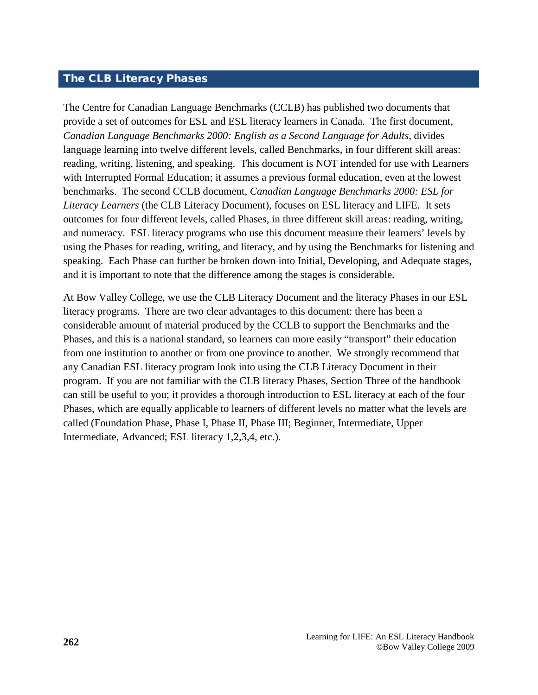#### <span id="page-3-0"></span>The CLB Literacy Phases

The Centre for Canadian Language Benchmarks (CCLB) has published two documents that provide a set of outcomes for ESL and ESL literacy learners in Canada. The first document, *Canadian Language Benchmarks 2000: English as a Second Language for Adults*, divides language learning into twelve different levels, called Benchmarks, in four different skill areas: reading, writing, listening, and speaking. This document is NOT intended for use with Learners with Interrupted Formal Education; it assumes a previous formal education, even at the lowest benchmarks. The second CCLB document, *Canadian Language Benchmarks 2000: ESL for Literacy Learners* (the CLB Literacy Document)*,* focuses on ESL literacy and LIFE. It sets outcomes for four different levels, called Phases, in three different skill areas: reading, writing, and numeracy. ESL literacy programs who use this document measure their learners' levels by using the Phases for reading, writing, and literacy, and by using the Benchmarks for listening and speaking. Each Phase can further be broken down into Initial, Developing, and Adequate stages, and it is important to note that the difference among the stages is considerable.

At Bow Valley College, we use the CLB Literacy Document and the literacy Phases in our ESL literacy programs. There are two clear advantages to this document: there has been a considerable amount of material produced by the CCLB to support the Benchmarks and the Phases, and this is a national standard, so learners can more easily "transport" their education from one institution to another or from one province to another. We strongly recommend that any Canadian ESL literacy program look into using the CLB Literacy Document in their program. If you are not familiar with the CLB literacy Phases, Section Three of the handbook can still be useful to you; it provides a thorough introduction to ESL literacy at each of the four Phases, which are equally applicable to learners of different levels no matter what the levels are called (Foundation Phase, Phase I, Phase II, Phase III; Beginner, Intermediate, Upper Intermediate, Advanced; ESL literacy 1,2,3,4, etc.).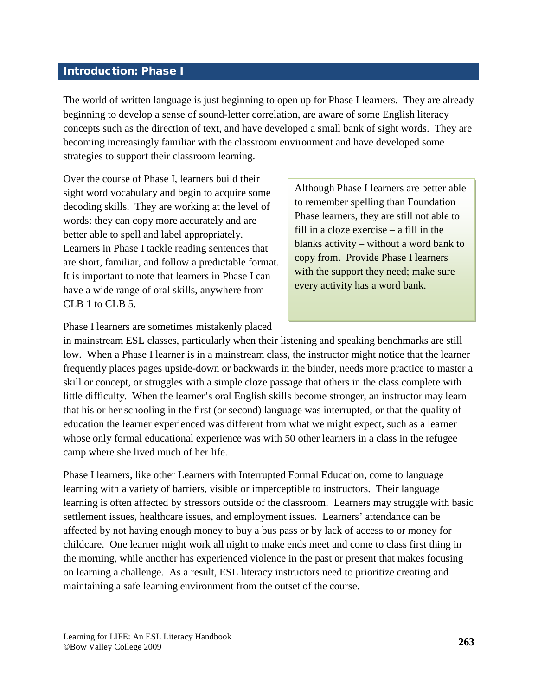#### <span id="page-4-0"></span>Introduction: Phase I

The world of written language is just beginning to open up for Phase I learners. They are already beginning to develop a sense of sound-letter correlation, are aware of some English literacy concepts such as the direction of text, and have developed a small bank of sight words. They are becoming increasingly familiar with the classroom environment and have developed some strategies to support their classroom learning.

Over the course of Phase I, learners build their sight word vocabulary and begin to acquire some decoding skills. They are working at the level of words: they can copy more accurately and are better able to spell and label appropriately. Learners in Phase I tackle reading sentences that are short, familiar, and follow a predictable format. It is important to note that learners in Phase I can have a wide range of oral skills, anywhere from CLB 1 to CLB 5.

Although Phase I learners are better able to remember spelling than Foundation Phase learners, they are still not able to fill in a cloze exercise – a fill in the blanks activity – without a word bank to copy from. Provide Phase I learners with the support they need; make sure every activity has a word bank.

Phase I learners are sometimes mistakenly placed

in mainstream ESL classes, particularly when their listening and speaking benchmarks are still low. When a Phase I learner is in a mainstream class, the instructor might notice that the learner frequently places pages upside-down or backwards in the binder, needs more practice to master a skill or concept, or struggles with a simple cloze passage that others in the class complete with little difficulty. When the learner's oral English skills become stronger, an instructor may learn that his or her schooling in the first (or second) language was interrupted, or that the quality of education the learner experienced was different from what we might expect, such as a learner whose only formal educational experience was with 50 other learners in a class in the refugee camp where she lived much of her life.

Phase I learners, like other Learners with Interrupted Formal Education, come to language learning with a variety of barriers, visible or imperceptible to instructors. Their language learning is often affected by stressors outside of the classroom. Learners may struggle with basic settlement issues, healthcare issues, and employment issues. Learners' attendance can be affected by not having enough money to buy a bus pass or by lack of access to or money for childcare. One learner might work all night to make ends meet and come to class first thing in the morning, while another has experienced violence in the past or present that makes focusing on learning a challenge. As a result, ESL literacy instructors need to prioritize creating and maintaining a safe learning environment from the outset of the course.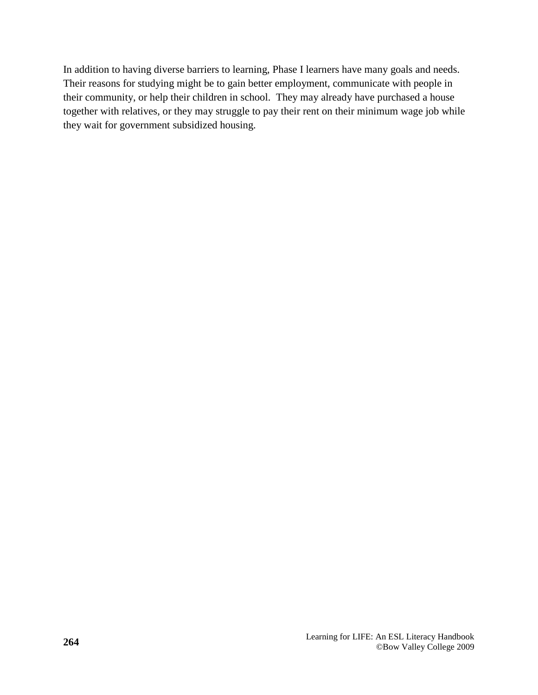In addition to having diverse barriers to learning, Phase I learners have many goals and needs. Their reasons for studying might be to gain better employment, communicate with people in their community, or help their children in school. They may already have purchased a house together with relatives, or they may struggle to pay their rent on their minimum wage job while they wait for government subsidized housing.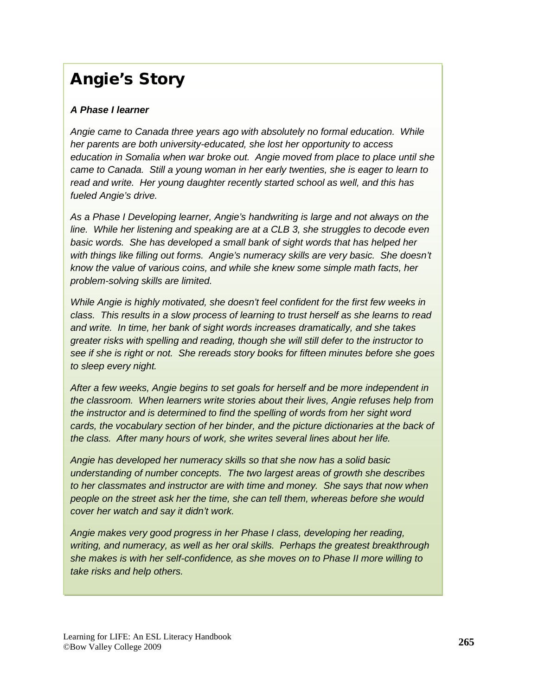## Angie's Story

#### *A Phase I learner*

*Angie came to Canada three years ago with absolutely no formal education. While her parents are both university-educated, she lost her opportunity to access education in Somalia when war broke out. Angie moved from place to place until she came to Canada. Still a young woman in her early twenties, she is eager to learn to read and write. Her young daughter recently started school as well, and this has fueled Angie's drive.*

*As a Phase I Developing learner, Angie's handwriting is large and not always on the line. While her listening and speaking are at a CLB 3, she struggles to decode even basic words. She has developed a small bank of sight words that has helped her with things like filling out forms. Angie's numeracy skills are very basic. She doesn't know the value of various coins, and while she knew some simple math facts, her problem-solving skills are limited.*

*While Angie is highly motivated, she doesn't feel confident for the first few weeks in class. This results in a slow process of learning to trust herself as she learns to read and write. In time, her bank of sight words increases dramatically, and she takes greater risks with spelling and reading, though she will still defer to the instructor to see if she is right or not. She rereads story books for fifteen minutes before she goes to sleep every night.* 

*After a few weeks, Angie begins to set goals for herself and be more independent in the classroom. When learners write stories about their lives, Angie refuses help from the instructor and is determined to find the spelling of words from her sight word cards, the vocabulary section of her binder, and the picture dictionaries at the back of the class. After many hours of work, she writes several lines about her life.*

*Angie has developed her numeracy skills so that she now has a solid basic understanding of number concepts. The two largest areas of growth she describes to her classmates and instructor are with time and money. She says that now when people on the street ask her the time, she can tell them, whereas before she would cover her watch and say it didn't work.*

*Angie makes very good progress in her Phase I class, developing her reading, writing, and numeracy, as well as her oral skills. Perhaps the greatest breakthrough she makes is with her self-confidence, as she moves on to Phase II more willing to take risks and help others.*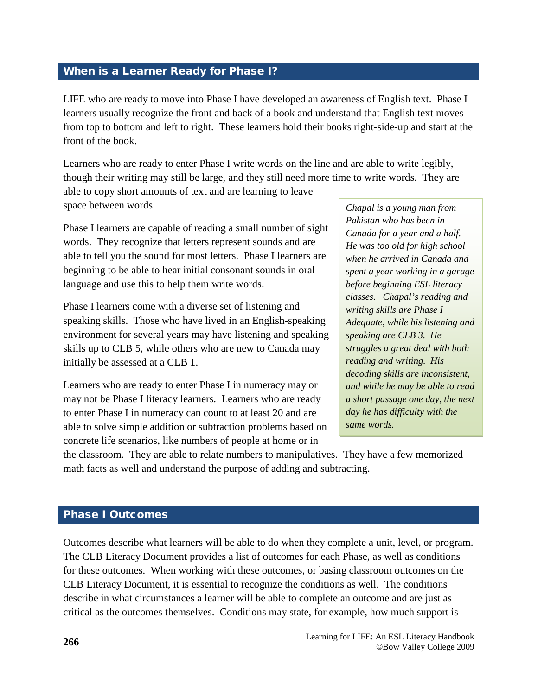#### <span id="page-7-0"></span>When is a Learner Ready for Phase I?

LIFE who are ready to move into Phase I have developed an awareness of English text. Phase I learners usually recognize the front and back of a book and understand that English text moves from top to bottom and left to right. These learners hold their books right-side-up and start at the front of the book.

Learners who are ready to enter Phase I write words on the line and are able to write legibly, though their writing may still be large, and they still need more time to write words. They are

able to copy short amounts of text and are learning to leave space between words.

Phase I learners are capable of reading a small number of sight words. They recognize that letters represent sounds and are able to tell you the sound for most letters. Phase I learners are beginning to be able to hear initial consonant sounds in oral language and use this to help them write words.

Phase I learners come with a diverse set of listening and speaking skills. Those who have lived in an English-speaking environment for several years may have listening and speaking skills up to CLB 5, while others who are new to Canada may initially be assessed at a CLB 1.

Learners who are ready to enter Phase I in numeracy may or may not be Phase I literacy learners. Learners who are ready to enter Phase I in numeracy can count to at least 20 and are able to solve simple addition or subtraction problems based on concrete life scenarios, like numbers of people at home or in

*Chapal is a young man from Pakistan who has been in Canada for a year and a half. He was too old for high school when he arrived in Canada and spent a year working in a garage before beginning ESL literacy classes. Chapal's reading and writing skills are Phase I Adequate, while his listening and speaking are CLB 3. He struggles a great deal with both reading and writing. His decoding skills are inconsistent, and while he may be able to read a short passage one day, the next day he has difficulty with the same words.*

the classroom. They are able to relate numbers to manipulatives. They have a few memorized math facts as well and understand the purpose of adding and subtracting.

#### Phase I Outcomes

Outcomes describe what learners will be able to do when they complete a unit, level, or program. The CLB Literacy Document provides a list of outcomes for each Phase, as well as conditions for these outcomes. When working with these outcomes, or basing classroom outcomes on the CLB Literacy Document, it is essential to recognize the conditions as well. The conditions describe in what circumstances a learner will be able to complete an outcome and are just as critical as the outcomes themselves. Conditions may state, for example, how much support is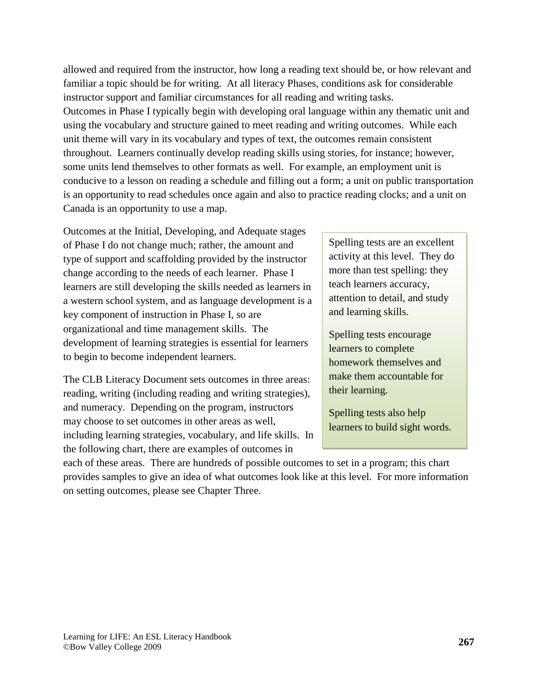allowed and required from the instructor, how long a reading text should be, or how relevant and familiar a topic should be for writing. At all literacy Phases, conditions ask for considerable instructor support and familiar circumstances for all reading and writing tasks. Outcomes in Phase I typically begin with developing oral language within any thematic unit and using the vocabulary and structure gained to meet reading and writing outcomes. While each unit theme will vary in its vocabulary and types of text, the outcomes remain consistent throughout. Learners continually develop reading skills using stories, for instance; however, some units lend themselves to other formats as well. For example, an employment unit is conducive to a lesson on reading a schedule and filling out a form; a unit on public transportation is an opportunity to read schedules once again and also to practice reading clocks; and a unit on Canada is an opportunity to use a map.

Outcomes at the Initial, Developing, and Adequate stages of Phase I do not change much; rather, the amount and type of support and scaffolding provided by the instructor change according to the needs of each learner. Phase I learners are still developing the skills needed as learners in a western school system, and as language development is a key component of instruction in Phase I, so are organizational and time management skills. The development of learning strategies is essential for learners to begin to become independent learners.

The CLB Literacy Document sets outcomes in three areas: reading, writing (including reading and writing strategies), and numeracy. Depending on the program, instructors may choose to set outcomes in other areas as well, including learning strategies, vocabulary, and life skills. In the following chart, there are examples of outcomes in

Spelling tests are an excellent activity at this level. They do more than test spelling: they teach learners accuracy, attention to detail, and study and learning skills.

Spelling tests encourage learners to complete homework themselves and make them accountable for their learning.

Spelling tests also help learners to build sight words.

each of these areas. There are hundreds of possible outcomes to set in a program; this chart provides samples to give an idea of what outcomes look like at this level. For more information on setting outcomes, please see Chapter Three.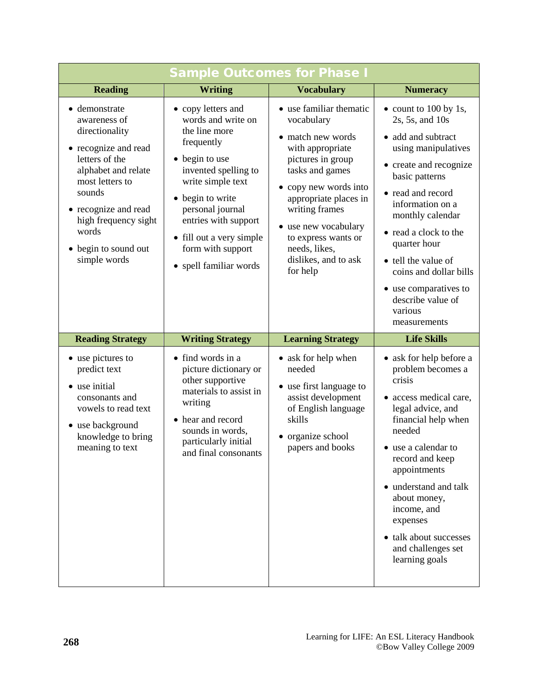| <b>Sample Outcomes for Phase I</b>                                                                                                                                                                                                             |                                                                                                                                                                                                                                                                                   |                                                                                                                                                                                                                                                                                                |                                                                                                                                                                                                                                                                                                                                                                         |
|------------------------------------------------------------------------------------------------------------------------------------------------------------------------------------------------------------------------------------------------|-----------------------------------------------------------------------------------------------------------------------------------------------------------------------------------------------------------------------------------------------------------------------------------|------------------------------------------------------------------------------------------------------------------------------------------------------------------------------------------------------------------------------------------------------------------------------------------------|-------------------------------------------------------------------------------------------------------------------------------------------------------------------------------------------------------------------------------------------------------------------------------------------------------------------------------------------------------------------------|
| <b>Reading</b>                                                                                                                                                                                                                                 | <b>Writing</b>                                                                                                                                                                                                                                                                    | <b>Vocabulary</b>                                                                                                                                                                                                                                                                              | <b>Numeracy</b>                                                                                                                                                                                                                                                                                                                                                         |
| • demonstrate<br>awareness of<br>directionality<br>• recognize and read<br>letters of the<br>alphabet and relate<br>most letters to<br>sounds<br>• recognize and read<br>high frequency sight<br>words<br>• begin to sound out<br>simple words | • copy letters and<br>words and write on<br>the line more<br>frequently<br>• begin to use<br>invented spelling to<br>write simple text<br>• begin to write<br>personal journal<br>entries with support<br>• fill out a very simple<br>form with support<br>• spell familiar words | • use familiar thematic<br>vocabulary<br>• match new words<br>with appropriate<br>pictures in group<br>tasks and games<br>• copy new words into<br>appropriate places in<br>writing frames<br>• use new vocabulary<br>to express wants or<br>needs, likes,<br>dislikes, and to ask<br>for help | $\bullet$ count to 100 by 1s,<br>2s, 5s, and 10s<br>• add and subtract<br>using manipulatives<br>• create and recognize<br>basic patterns<br>• read and record<br>information on a<br>monthly calendar<br>• read a clock to the<br>quarter hour<br>• tell the value of<br>coins and dollar bills<br>use comparatives to<br>describe value of<br>various<br>measurements |
| <b>Reading Strategy</b>                                                                                                                                                                                                                        | <b>Writing Strategy</b>                                                                                                                                                                                                                                                           | <b>Learning Strategy</b>                                                                                                                                                                                                                                                                       | <b>Life Skills</b>                                                                                                                                                                                                                                                                                                                                                      |
| • use pictures to<br>predict text<br>• use initial<br>consonants and<br>vowels to read text<br>• use background<br>knowledge to bring<br>meaning to text                                                                                       | • find words in a<br>picture dictionary or<br>other supportive<br>materials to assist in<br>writing<br>• hear and record<br>sounds in words,<br>particularly initial<br>and final consonants                                                                                      | • ask for help when<br>needed<br>• use first language to<br>assist development<br>of English language<br>skills<br>• organize school<br>papers and books                                                                                                                                       | • ask for help before a<br>problem becomes a<br>crisis<br>• access medical care,<br>legal advice, and<br>financial help when<br>needed<br>• use a calendar to<br>record and keep<br>appointments<br>• understand and talk<br>about money,<br>income, and<br>expenses<br>• talk about successes<br>and challenges set<br>learning goals                                  |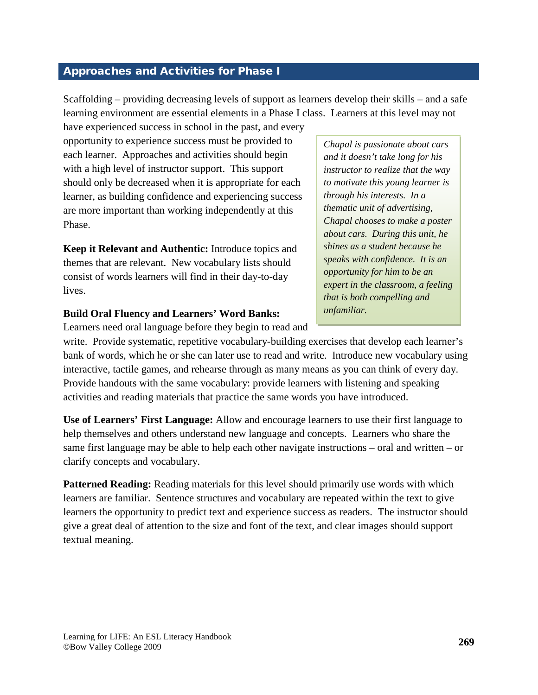#### <span id="page-10-0"></span>Approaches and Activities for Phase I

Scaffolding – providing decreasing levels of support as learners develop their skills – and a safe learning environment are essential elements in a Phase I class. Learners at this level may not

have experienced success in school in the past, and every opportunity to experience success must be provided to each learner. Approaches and activities should begin with a high level of instructor support. This support should only be decreased when it is appropriate for each learner, as building confidence and experiencing success are more important than working independently at this Phase.

**Keep it Relevant and Authentic:** Introduce topics and themes that are relevant. New vocabulary lists should consist of words learners will find in their day-to-day lives.

#### **Build Oral Fluency and Learners' Word Banks:**

Learners need oral language before they begin to read and

*Chapal is passionate about cars and it doesn't take long for his instructor to realize that the way to motivate this young learner is through his interests. In a thematic unit of advertising, Chapal chooses to make a poster about cars. During this unit, he shines as a student because he speaks with confidence. It is an opportunity for him to be an expert in the classroom, a feeling that is both compelling and unfamiliar.*

write. Provide systematic, repetitive vocabulary-building exercises that develop each learner's bank of words, which he or she can later use to read and write. Introduce new vocabulary using interactive, tactile games, and rehearse through as many means as you can think of every day. Provide handouts with the same vocabulary: provide learners with listening and speaking activities and reading materials that practice the same words you have introduced.

**Use of Learners' First Language:** Allow and encourage learners to use their first language to help themselves and others understand new language and concepts. Learners who share the same first language may be able to help each other navigate instructions – oral and written – or clarify concepts and vocabulary.

**Patterned Reading:** Reading materials for this level should primarily use words with which learners are familiar. Sentence structures and vocabulary are repeated within the text to give learners the opportunity to predict text and experience success as readers. The instructor should give a great deal of attention to the size and font of the text, and clear images should support textual meaning.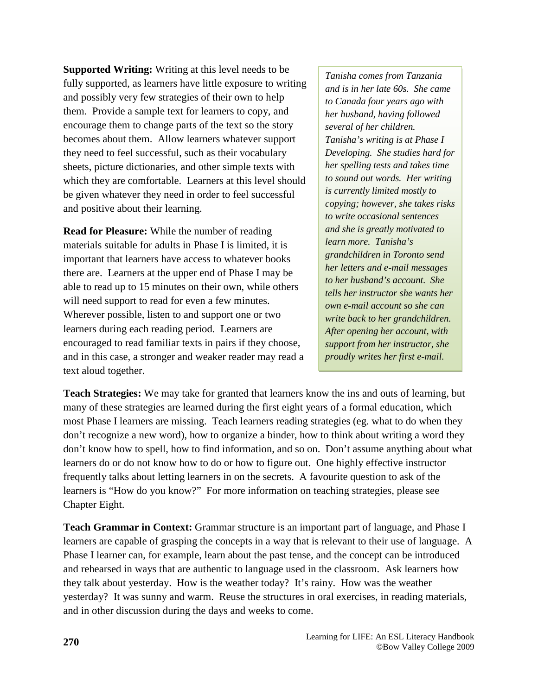**Supported Writing:** Writing at this level needs to be fully supported, as learners have little exposure to writing and possibly very few strategies of their own to help them. Provide a sample text for learners to copy, and encourage them to change parts of the text so the story becomes about them. Allow learners whatever support they need to feel successful, such as their vocabulary sheets, picture dictionaries, and other simple texts with which they are comfortable. Learners at this level should be given whatever they need in order to feel successful and positive about their learning.

**Read for Pleasure:** While the number of reading materials suitable for adults in Phase I is limited, it is important that learners have access to whatever books there are. Learners at the upper end of Phase I may be able to read up to 15 minutes on their own, while others will need support to read for even a few minutes. Wherever possible, listen to and support one or two learners during each reading period. Learners are encouraged to read familiar texts in pairs if they choose, and in this case, a stronger and weaker reader may read a text aloud together.

*Tanisha comes from Tanzania and is in her late 60s. She came to Canada four years ago with her husband, having followed several of her children. Tanisha's writing is at Phase I Developing. She studies hard for her spelling tests and takes time to sound out words. Her writing is currently limited mostly to copying; however, she takes risks to write occasional sentences and she is greatly motivated to learn more. Tanisha's grandchildren in Toronto send her letters and e-mail messages to her husband's account. She tells her instructor she wants her own e-mail account so she can write back to her grandchildren. After opening her account, with support from her instructor, she proudly writes her first e-mail.*

**Teach Strategies:** We may take for granted that learners know the ins and outs of learning, but many of these strategies are learned during the first eight years of a formal education, which most Phase I learners are missing. Teach learners reading strategies (eg. what to do when they don't recognize a new word), how to organize a binder, how to think about writing a word they don't know how to spell, how to find information, and so on. Don't assume anything about what learners do or do not know how to do or how to figure out. One highly effective instructor frequently talks about letting learners in on the secrets. A favourite question to ask of the learners is "How do you know?" For more information on teaching strategies, please see Chapter Eight.

**Teach Grammar in Context:** Grammar structure is an important part of language, and Phase I learners are capable of grasping the concepts in a way that is relevant to their use of language. A Phase I learner can, for example, learn about the past tense, and the concept can be introduced and rehearsed in ways that are authentic to language used in the classroom. Ask learners how they talk about yesterday. How is the weather today? It's rainy. How was the weather yesterday? It was sunny and warm. Reuse the structures in oral exercises, in reading materials, and in other discussion during the days and weeks to come.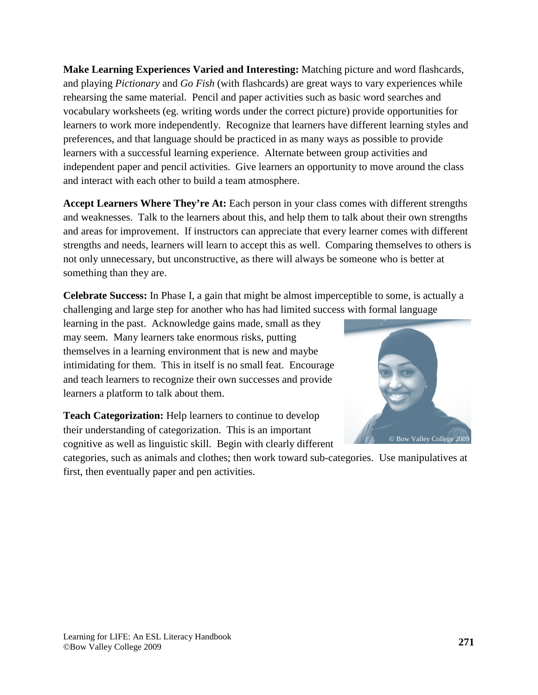**Make Learning Experiences Varied and Interesting:** Matching picture and word flashcards, and playing *Pictionary* and *Go Fish* (with flashcards) are great ways to vary experiences while rehearsing the same material. Pencil and paper activities such as basic word searches and vocabulary worksheets (eg. writing words under the correct picture) provide opportunities for learners to work more independently. Recognize that learners have different learning styles and preferences, and that language should be practiced in as many ways as possible to provide learners with a successful learning experience. Alternate between group activities and independent paper and pencil activities. Give learners an opportunity to move around the class and interact with each other to build a team atmosphere.

**Accept Learners Where They're At:** Each person in your class comes with different strengths and weaknesses. Talk to the learners about this, and help them to talk about their own strengths and areas for improvement. If instructors can appreciate that every learner comes with different strengths and needs, learners will learn to accept this as well. Comparing themselves to others is not only unnecessary, but unconstructive, as there will always be someone who is better at something than they are.

**Celebrate Success:** In Phase I, a gain that might be almost imperceptible to some, is actually a challenging and large step for another who has had limited success with formal language

learning in the past. Acknowledge gains made, small as they may seem. Many learners take enormous risks, putting themselves in a learning environment that is new and maybe intimidating for them. This in itself is no small feat. Encourage and teach learners to recognize their own successes and provide learners a platform to talk about them.

**Teach Categorization:** Help learners to continue to develop their understanding of categorization. This is an important cognitive as well as linguistic skill. Begin with clearly different



categories, such as animals and clothes; then work toward sub-categories. Use manipulatives at first, then eventually paper and pen activities.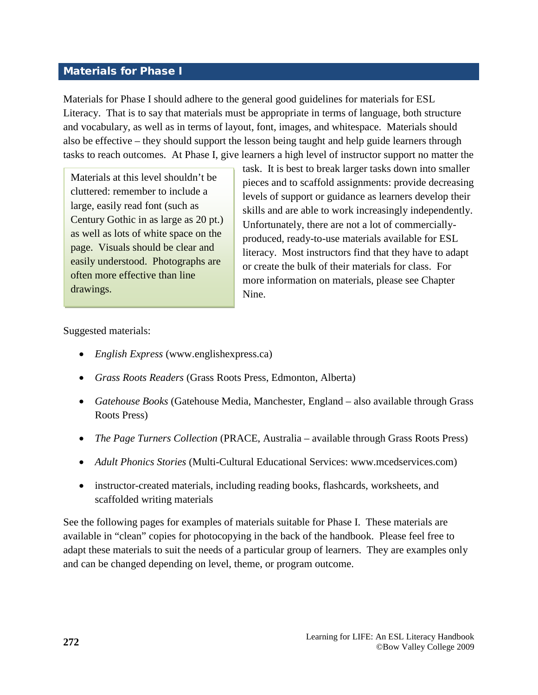#### <span id="page-13-0"></span>Materials for Phase I

Materials for Phase I should adhere to the general good guidelines for materials for ESL Literacy. That is to say that materials must be appropriate in terms of language, both structure and vocabulary, as well as in terms of layout, font, images, and whitespace. Materials should also be effective – they should support the lesson being taught and help guide learners through tasks to reach outcomes. At Phase I, give learners a high level of instructor support no matter the

Materials at this level shouldn't be cluttered: remember to include a large, easily read font (such as Century Gothic in as large as 20 pt.) as well as lots of white space on the page. Visuals should be clear and easily understood. Photographs are often more effective than line drawings.

task. It is best to break larger tasks down into smaller pieces and to scaffold assignments: provide decreasing levels of support or guidance as learners develop their skills and are able to work increasingly independently. Unfortunately, there are not a lot of commerciallyproduced, ready-to-use materials available for ESL literacy. Most instructors find that they have to adapt or create the bulk of their materials for class. For more information on materials, please see Chapter Nine.

Suggested materials:

- *English Express* (www.englishexpress.ca)
- *Grass Roots Readers* (Grass Roots Press, Edmonton, Alberta)
- *Gatehouse Books* (Gatehouse Media, Manchester, England also available through Grass Roots Press)
- *The Page Turners Collection* (PRACE, Australia available through Grass Roots Press)
- *Adult Phonics Stories* (Multi-Cultural Educational Services: www.mcedservices.com)
- instructor-created materials, including reading books, flashcards, worksheets, and scaffolded writing materials

See the following pages for examples of materials suitable for Phase I. These materials are available in "clean" copies for photocopying in the back of the handbook. Please feel free to adapt these materials to suit the needs of a particular group of learners. They are examples only and can be changed depending on level, theme, or program outcome.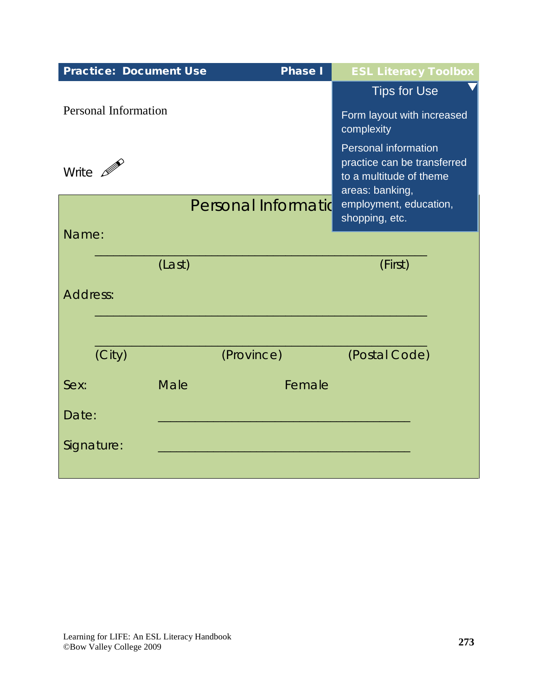| <b>Practice: Document Use</b> |        | <b>Phase I</b>      | <b>ESL Literacy Toolbox</b>                                               |
|-------------------------------|--------|---------------------|---------------------------------------------------------------------------|
| <b>Personal Information</b>   |        |                     | <b>Tips for Use</b><br>Form layout with increased                         |
|                               |        |                     | complexity<br><b>Personal information</b>                                 |
| Write $\mathscr{P}$           |        |                     | practice can be transferred<br>to a multitude of theme<br>areas: banking, |
|                               |        | Personal Informatio | employment, education,<br>shopping, etc.                                  |
| Name:                         |        |                     |                                                                           |
|                               | (Last) |                     | (First)                                                                   |
| Address:                      |        |                     |                                                                           |
| (City)                        |        | (Province)          | (Postal Code)                                                             |
| Sex:                          | Male   | Female              |                                                                           |
| Date:                         |        |                     |                                                                           |
| Signature:                    |        |                     |                                                                           |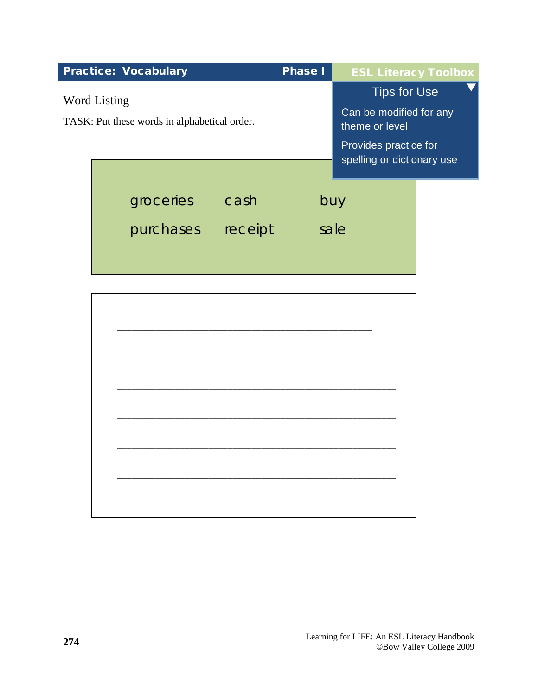|                                                              | <b>Practice: Vocabulary</b> |         | <b>Phase I</b> | <b>ESL Literacy Toolbox</b>                         |
|--------------------------------------------------------------|-----------------------------|---------|----------------|-----------------------------------------------------|
|                                                              |                             |         |                | <b>Tips for Use</b>                                 |
| Word Listing<br>TASK: Put these words in alphabetical order. |                             |         |                | Can be modified for any<br>theme or level           |
|                                                              |                             |         |                | Provides practice for<br>spelling or dictionary use |
|                                                              |                             |         |                |                                                     |
|                                                              | groceries                   | cash    | buy            |                                                     |
|                                                              | purchases                   | receipt |                | sale                                                |
|                                                              |                             |         |                |                                                     |
|                                                              |                             |         |                |                                                     |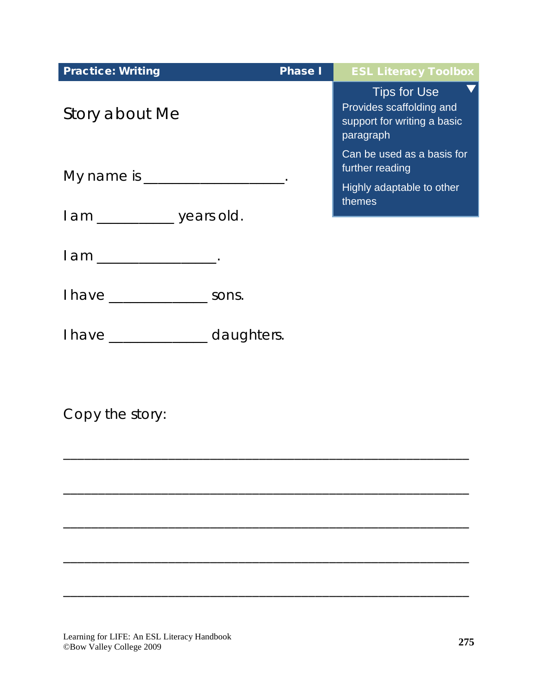| <b>Practice: Writing</b>          | <b>Phase I</b> | <b>ESL Literacy Toolbox</b>                                                                 |
|-----------------------------------|----------------|---------------------------------------------------------------------------------------------|
| Story about Me                    |                | <b>Tips for Use</b><br>Provides scaffolding and<br>support for writing a basic<br>paragraph |
| My name is _____________________. |                | Can be used as a basis for<br>further reading                                               |
|                                   |                | Highly adaptable to other<br>themes                                                         |
| I am __________ years old.        |                |                                                                                             |
| l am _________________.           |                |                                                                                             |
| I have __________________ sons.   |                |                                                                                             |
| I have _______________ daughters. |                |                                                                                             |
|                                   |                |                                                                                             |

\_\_\_\_\_\_\_\_\_\_\_\_\_\_\_\_\_\_\_\_\_\_\_\_\_\_\_\_\_\_\_\_\_\_\_\_\_\_\_\_\_\_\_\_\_\_\_\_\_\_\_\_\_\_\_\_\_\_

\_\_\_\_\_\_\_\_\_\_\_\_\_\_\_\_\_\_\_\_\_\_\_\_\_\_\_\_\_\_\_\_\_\_\_\_\_\_\_\_\_\_\_\_\_\_\_\_\_\_\_\_\_\_\_\_\_\_

\_\_\_\_\_\_\_\_\_\_\_\_\_\_\_\_\_\_\_\_\_\_\_\_\_\_\_\_\_\_\_\_\_\_\_\_\_\_\_\_\_\_\_\_\_\_\_\_\_\_\_\_\_\_\_\_\_\_

 $\overline{\phantom{a}}$  , and the contract of the contract of the contract of the contract of the contract of the contract of the contract of the contract of the contract of the contract of the contract of the contract of the contrac

 $\overline{\phantom{a}}$  , and the contribution of the contribution of the contribution of the contribution of the contribution of the contribution of the contribution of the contribution of the contribution of the contribution of the

Copy the story: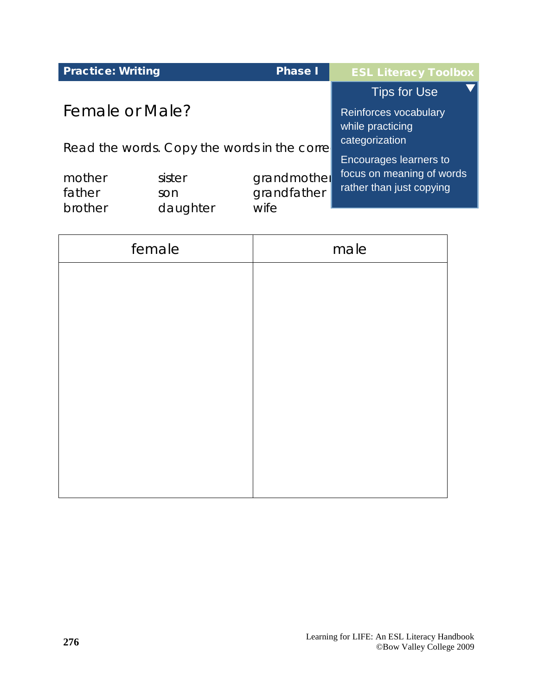| <b>Practice: Writing</b>                    |                           | <b>Phase I</b>                     | <b>ESL Literacy Toolbox</b>                           |
|---------------------------------------------|---------------------------|------------------------------------|-------------------------------------------------------|
|                                             |                           |                                    | <b>Tips for Use</b>                                   |
| Female or Male?                             |                           |                                    | Reinforces vocabulary<br>while practicing             |
| Read the words. Copy the words in the corre |                           |                                    | categorization<br>Encourages learners to              |
| mother<br>father<br>brother                 | sister<br>son<br>daughter | grandmother<br>grandfather<br>wife | focus on meaning of words<br>rather than just copying |
|                                             |                           |                                    |                                                       |

| female | male |
|--------|------|
|        |      |
|        |      |
|        |      |
|        |      |
|        |      |
|        |      |
|        |      |
|        |      |
|        |      |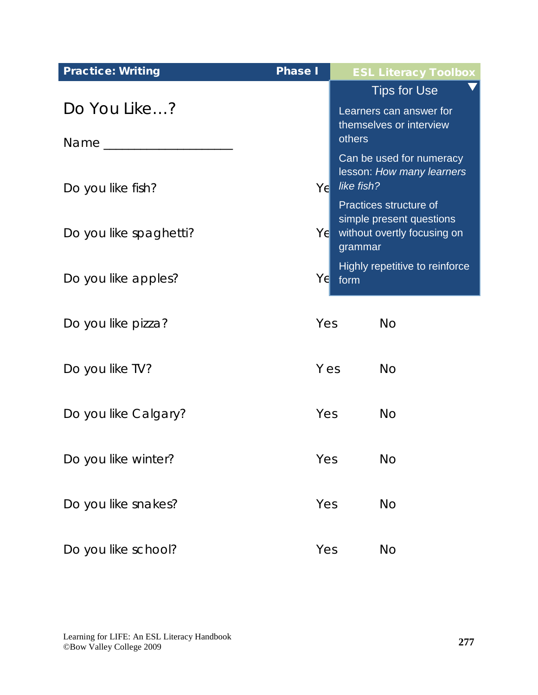| <b>Practice: Writing</b> | <b>Phase I</b> | <b>ESL Literacy Toolbox</b>                                         |
|--------------------------|----------------|---------------------------------------------------------------------|
|                          |                | <b>Tips for Use</b>                                                 |
| Do You Like?             |                | Learners can answer for<br>themselves or interview                  |
| Name _____________       |                | others                                                              |
| Do you like fish?        | Yel            | Can be used for numeracy<br>lesson: How many learners<br>like fish? |
|                          |                | Practices structure of<br>simple present questions                  |
| Do you like spaghetti?   | $Y \in$        | without overtly focusing on<br>grammar                              |
| Do you like apples?      | Y∈             | Highly repetitive to reinforce<br>form                              |
| Do you like pizza?       | Yes            | <b>No</b>                                                           |
| Do you like TV?          | Y es           | <b>No</b>                                                           |
| Do you like Calgary?     | Yes            | <b>No</b>                                                           |
| Do you like winter?      | Yes            | <b>No</b>                                                           |
| Do you like snakes?      | Yes            | <b>No</b>                                                           |
| Do you like school?      | Yes            | No.                                                                 |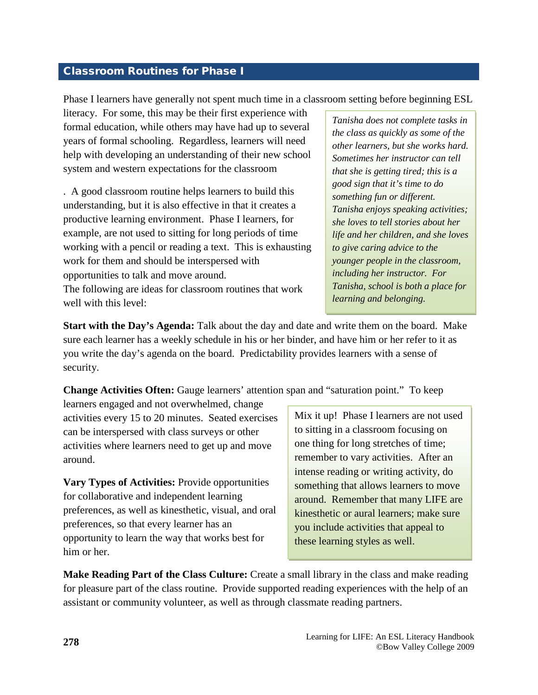#### <span id="page-19-0"></span>Classroom Routines for Phase I

Phase I learners have generally not spent much time in a classroom setting before beginning ESL

literacy. For some, this may be their first experience with formal education, while others may have had up to several years of formal schooling. Regardless, learners will need help with developing an understanding of their new school system and western expectations for the classroom

. A good classroom routine helps learners to build this understanding, but it is also effective in that it creates a productive learning environment. Phase I learners, for example, are not used to sitting for long periods of time working with a pencil or reading a text. This is exhausting work for them and should be interspersed with opportunities to talk and move around. The following are ideas for classroom routines that work well with this level:

*Tanisha does not complete tasks in the class as quickly as some of the other learners, but she works hard. Sometimes her instructor can tell that she is getting tired; this is a good sign that it's time to do something fun or different. Tanisha enjoys speaking activities; she loves to tell stories about her life and her children, and she loves to give caring advice to the younger people in the classroom, including her instructor. For Tanisha, school is both a place for learning and belonging.*

**Start with the Day's Agenda:** Talk about the day and date and write them on the board. Make sure each learner has a weekly schedule in his or her binder, and have him or her refer to it as you write the day's agenda on the board. Predictability provides learners with a sense of security.

**Change Activities Often:** Gauge learners' attention span and "saturation point." To keep

learners engaged and not overwhelmed, change activities every 15 to 20 minutes. Seated exercises can be interspersed with class surveys or other activities where learners need to get up and move around.

**Vary Types of Activities:** Provide opportunities for collaborative and independent learning preferences, as well as kinesthetic, visual, and oral preferences, so that every learner has an opportunity to learn the way that works best for him or her.

Mix it up! Phase I learners are not used to sitting in a classroom focusing on one thing for long stretches of time; remember to vary activities. After an intense reading or writing activity, do something that allows learners to move around. Remember that many LIFE are kinesthetic or aural learners; make sure you include activities that appeal to these learning styles as well.

**Make Reading Part of the Class Culture:** Create a small library in the class and make reading for pleasure part of the class routine. Provide supported reading experiences with the help of an assistant or community volunteer, as well as through classmate reading partners.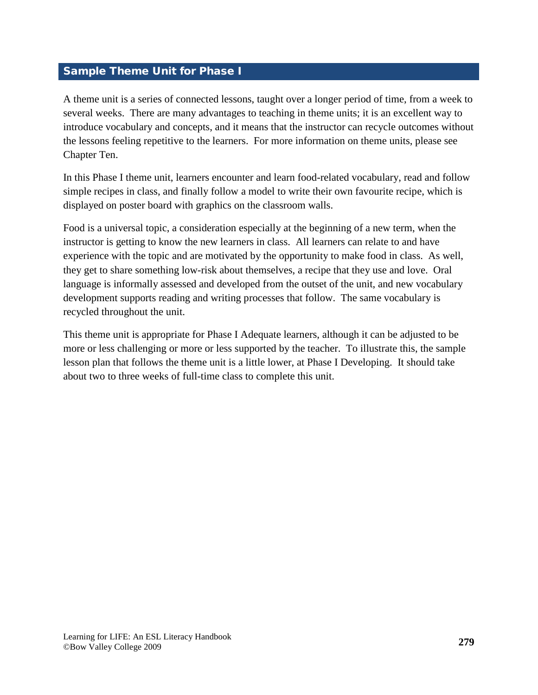#### <span id="page-20-0"></span>Sample Theme Unit for Phase I

A theme unit is a series of connected lessons, taught over a longer period of time, from a week to several weeks. There are many advantages to teaching in theme units; it is an excellent way to introduce vocabulary and concepts, and it means that the instructor can recycle outcomes without the lessons feeling repetitive to the learners. For more information on theme units, please see Chapter Ten.

In this Phase I theme unit, learners encounter and learn food-related vocabulary, read and follow simple recipes in class, and finally follow a model to write their own favourite recipe, which is displayed on poster board with graphics on the classroom walls.

Food is a universal topic, a consideration especially at the beginning of a new term, when the instructor is getting to know the new learners in class. All learners can relate to and have experience with the topic and are motivated by the opportunity to make food in class. As well, they get to share something low-risk about themselves, a recipe that they use and love. Oral language is informally assessed and developed from the outset of the unit, and new vocabulary development supports reading and writing processes that follow. The same vocabulary is recycled throughout the unit.

This theme unit is appropriate for Phase I Adequate learners, although it can be adjusted to be more or less challenging or more or less supported by the teacher. To illustrate this, the sample lesson plan that follows the theme unit is a little lower, at Phase I Developing. It should take about two to three weeks of full-time class to complete this unit.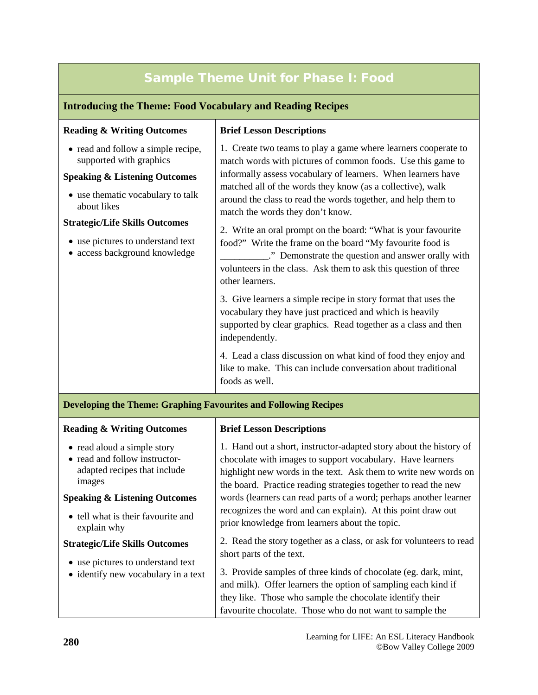### Sample Theme Unit for Phase I: Food

#### **Introducing the Theme: Food Vocabulary and Reading Recipes**

| <b>Reading &amp; Writing Outcomes</b>                                                                                                                                                                                                                                        | <b>Brief Lesson Descriptions</b>                                                                                                                                                                                                                                                                                                                                 |
|------------------------------------------------------------------------------------------------------------------------------------------------------------------------------------------------------------------------------------------------------------------------------|------------------------------------------------------------------------------------------------------------------------------------------------------------------------------------------------------------------------------------------------------------------------------------------------------------------------------------------------------------------|
| • read and follow a simple recipe,<br>supported with graphics<br><b>Speaking &amp; Listening Outcomes</b><br>• use thematic vocabulary to talk<br>about likes<br><b>Strategic/Life Skills Outcomes</b><br>• use pictures to understand text<br>• access background knowledge | 1. Create two teams to play a game where learners cooperate to<br>match words with pictures of common foods. Use this game to<br>informally assess vocabulary of learners. When learners have<br>matched all of the words they know (as a collective), walk<br>around the class to read the words together, and help them to<br>match the words they don't know. |
|                                                                                                                                                                                                                                                                              | 2. Write an oral prompt on the board: "What is your favourite<br>food?" Write the frame on the board "My favourite food is<br>." Demonstrate the question and answer orally with<br>volunteers in the class. Ask them to ask this question of three<br>other learners.                                                                                           |
|                                                                                                                                                                                                                                                                              | 3. Give learners a simple recipe in story format that uses the<br>vocabulary they have just practiced and which is heavily<br>supported by clear graphics. Read together as a class and then<br>independently.                                                                                                                                                   |
|                                                                                                                                                                                                                                                                              | 4. Lead a class discussion on what kind of food they enjoy and<br>like to make. This can include conversation about traditional<br>foods as well.                                                                                                                                                                                                                |
| <b>Developing the Theme: Graphing Favourites and Following Recipes</b>                                                                                                                                                                                                       |                                                                                                                                                                                                                                                                                                                                                                  |
| <b>Reading &amp; Writing Outcomes</b>                                                                                                                                                                                                                                        | <b>Brief Lesson Descriptions</b>                                                                                                                                                                                                                                                                                                                                 |
| • read aloud a simple story<br>• read and follow instructor-<br>adapted recipes that include<br>images                                                                                                                                                                       | 1. Hand out a short, instructor-adapted story about the history of<br>chocolate with images to support vocabulary. Have learners<br>highlight new words in the text. Ask them to write new words on<br>the board. Practice reading strategies together to read the new                                                                                           |
| <b>Speaking &amp; Listening Outcomes</b>                                                                                                                                                                                                                                     | words (learners can read parts of a word; perhaps another learner                                                                                                                                                                                                                                                                                                |
| • tell what is their favourite and<br>explain why                                                                                                                                                                                                                            | recognizes the word and can explain). At this point draw out<br>prior knowledge from learners about the topic.                                                                                                                                                                                                                                                   |
| <b>Strategic/Life Skills Outcomes</b><br>• use pictures to understand text<br>• identify new vocabulary in a text                                                                                                                                                            | 2. Read the story together as a class, or ask for volunteers to read<br>short parts of the text.                                                                                                                                                                                                                                                                 |
|                                                                                                                                                                                                                                                                              | 3. Provide samples of three kinds of chocolate (eg. dark, mint,<br>and milk). Offer learners the option of sampling each kind if<br>they like. Those who sample the chocolate identify their<br>favourite chocolate. Those who do not want to sample the                                                                                                         |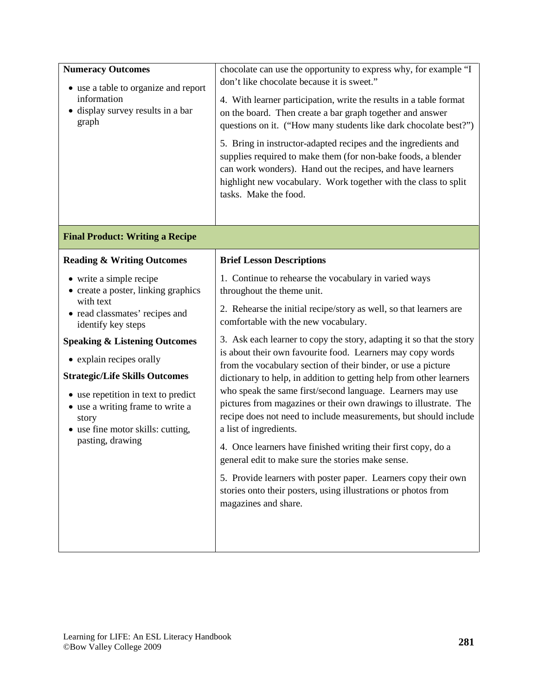| <b>Numeracy Outcomes</b><br>• use a table to organize and report<br>information<br>• display survey results in a bar<br>graph                                                                                                                                                                                                                                                                     | chocolate can use the opportunity to express why, for example "I<br>don't like chocolate because it is sweet."<br>4. With learner participation, write the results in a table format<br>on the board. Then create a bar graph together and answer<br>questions on it. ("How many students like dark chocolate best?")<br>5. Bring in instructor-adapted recipes and the ingredients and<br>supplies required to make them (for non-bake foods, a blender<br>can work wonders). Hand out the recipes, and have learners<br>highlight new vocabulary. Work together with the class to split<br>tasks. Make the food.                                                                                                                                                                                                                                                                                                                                                                                |
|---------------------------------------------------------------------------------------------------------------------------------------------------------------------------------------------------------------------------------------------------------------------------------------------------------------------------------------------------------------------------------------------------|---------------------------------------------------------------------------------------------------------------------------------------------------------------------------------------------------------------------------------------------------------------------------------------------------------------------------------------------------------------------------------------------------------------------------------------------------------------------------------------------------------------------------------------------------------------------------------------------------------------------------------------------------------------------------------------------------------------------------------------------------------------------------------------------------------------------------------------------------------------------------------------------------------------------------------------------------------------------------------------------------|
| <b>Final Product: Writing a Recipe</b>                                                                                                                                                                                                                                                                                                                                                            |                                                                                                                                                                                                                                                                                                                                                                                                                                                                                                                                                                                                                                                                                                                                                                                                                                                                                                                                                                                                   |
| <b>Reading &amp; Writing Outcomes</b>                                                                                                                                                                                                                                                                                                                                                             | <b>Brief Lesson Descriptions</b>                                                                                                                                                                                                                                                                                                                                                                                                                                                                                                                                                                                                                                                                                                                                                                                                                                                                                                                                                                  |
| • write a simple recipe<br>• create a poster, linking graphics<br>with text<br>• read classmates' recipes and<br>identify key steps<br><b>Speaking &amp; Listening Outcomes</b><br>• explain recipes orally<br><b>Strategic/Life Skills Outcomes</b><br>• use repetition in text to predict<br>• use a writing frame to write a<br>story<br>• use fine motor skills: cutting,<br>pasting, drawing | 1. Continue to rehearse the vocabulary in varied ways<br>throughout the theme unit.<br>2. Rehearse the initial recipe/story as well, so that learners are<br>comfortable with the new vocabulary.<br>3. Ask each learner to copy the story, adapting it so that the story<br>is about their own favourite food. Learners may copy words<br>from the vocabulary section of their binder, or use a picture<br>dictionary to help, in addition to getting help from other learners<br>who speak the same first/second language. Learners may use<br>pictures from magazines or their own drawings to illustrate. The<br>recipe does not need to include measurements, but should include<br>a list of ingredients.<br>4. Once learners have finished writing their first copy, do a<br>general edit to make sure the stories make sense.<br>5. Provide learners with poster paper. Learners copy their own<br>stories onto their posters, using illustrations or photos from<br>magazines and share. |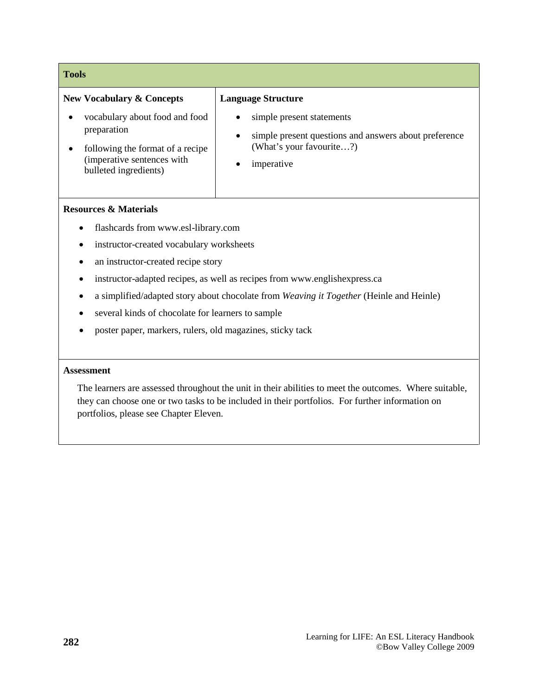| <b>Tools</b>                                                                                                                             |                                                                                                                                                        |
|------------------------------------------------------------------------------------------------------------------------------------------|--------------------------------------------------------------------------------------------------------------------------------------------------------|
| <b>New Vocabulary &amp; Concepts</b>                                                                                                     | <b>Language Structure</b>                                                                                                                              |
| vocabulary about food and food<br>preparation<br>following the format of a recipe<br>(imperative sentences with<br>bulleted ingredients) | simple present statements<br>$\bullet$<br>simple present questions and answers about preference<br>$\bullet$<br>(What's your favourite?)<br>imperative |

#### **Resources & Materials**

- flashcards from www.esl-library.com
- instructor-created vocabulary worksheets
- an instructor-created recipe story
- instructor-adapted recipes, as well as recipes from www.englishexpress.ca
- a simplified/adapted story about chocolate from *Weaving it Together* (Heinle and Heinle)
- several kinds of chocolate for learners to sample
- poster paper, markers, rulers, old magazines, sticky tack

#### **Assessment**

The learners are assessed throughout the unit in their abilities to meet the outcomes. Where suitable, they can choose one or two tasks to be included in their portfolios. For further information on portfolios, please see Chapter Eleven.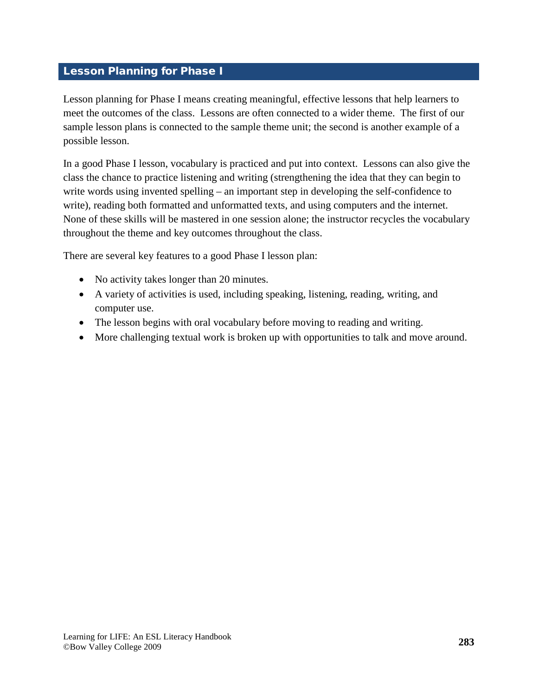#### <span id="page-24-0"></span>Lesson Planning for Phase I

Lesson planning for Phase I means creating meaningful, effective lessons that help learners to meet the outcomes of the class. Lessons are often connected to a wider theme. The first of our sample lesson plans is connected to the sample theme unit; the second is another example of a possible lesson.

In a good Phase I lesson, vocabulary is practiced and put into context. Lessons can also give the class the chance to practice listening and writing (strengthening the idea that they can begin to write words using invented spelling – an important step in developing the self-confidence to write), reading both formatted and unformatted texts, and using computers and the internet. None of these skills will be mastered in one session alone; the instructor recycles the vocabulary throughout the theme and key outcomes throughout the class.

There are several key features to a good Phase I lesson plan:

- No activity takes longer than 20 minutes.
- A variety of activities is used, including speaking, listening, reading, writing, and computer use.
- The lesson begins with oral vocabulary before moving to reading and writing.
- More challenging textual work is broken up with opportunities to talk and move around.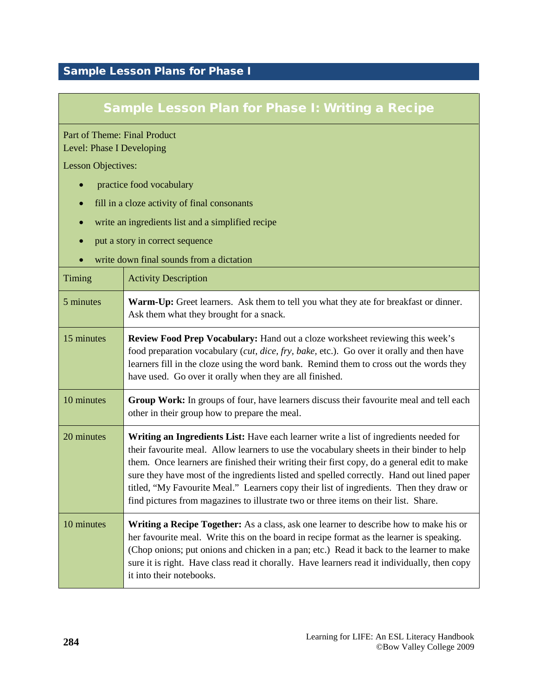#### <span id="page-25-0"></span>Sample Lesson Plans for Phase I

#### Sample Lesson Plan for Phase I: Writing a Recipe

Part of Theme: Final Product Level: Phase I Developing

Lesson Objectives:

- practice food vocabulary
- fill in a cloze activity of final consonants
- write an ingredients list and a simplified recipe
- put a story in correct sequence
- write down final sounds from a dictation

| Timing     | <b>Activity Description</b>                                                                                                                                                                                                                                                                                                                                                                                                                                                                                                                                     |
|------------|-----------------------------------------------------------------------------------------------------------------------------------------------------------------------------------------------------------------------------------------------------------------------------------------------------------------------------------------------------------------------------------------------------------------------------------------------------------------------------------------------------------------------------------------------------------------|
| 5 minutes  | <b>Warm-Up:</b> Greet learners. Ask them to tell you what they ate for breakfast or dinner.<br>Ask them what they brought for a snack.                                                                                                                                                                                                                                                                                                                                                                                                                          |
| 15 minutes | <b>Review Food Prep Vocabulary:</b> Hand out a cloze worksheet reviewing this week's<br>food preparation vocabulary ( <i>cut, dice, fry, bake, etc.</i> ). Go over it orally and then have<br>learners fill in the cloze using the word bank. Remind them to cross out the words they<br>have used. Go over it orally when they are all finished.                                                                                                                                                                                                               |
| 10 minutes | Group Work: In groups of four, have learners discuss their favourite meal and tell each<br>other in their group how to prepare the meal.                                                                                                                                                                                                                                                                                                                                                                                                                        |
| 20 minutes | Writing an Ingredients List: Have each learner write a list of ingredients needed for<br>their favourite meal. Allow learners to use the vocabulary sheets in their binder to help<br>them. Once learners are finished their writing their first copy, do a general edit to make<br>sure they have most of the ingredients listed and spelled correctly. Hand out lined paper<br>titled, "My Favourite Meal." Learners copy their list of ingredients. Then they draw or<br>find pictures from magazines to illustrate two or three items on their list. Share. |
| 10 minutes | Writing a Recipe Together: As a class, ask one learner to describe how to make his or<br>her favourite meal. Write this on the board in recipe format as the learner is speaking.<br>(Chop onions; put onions and chicken in a pan; etc.) Read it back to the learner to make<br>sure it is right. Have class read it chorally. Have learners read it individually, then copy<br>it into their notebooks.                                                                                                                                                       |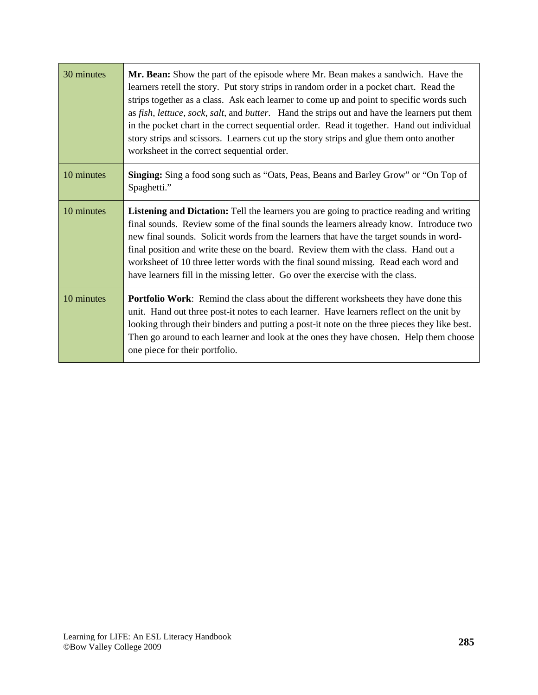| 30 minutes | Mr. Bean: Show the part of the episode where Mr. Bean makes a sandwich. Have the<br>learners retell the story. Put story strips in random order in a pocket chart. Read the<br>strips together as a class. Ask each learner to come up and point to specific words such<br>as fish, lettuce, sock, salt, and butter. Hand the strips out and have the learners put them<br>in the pocket chart in the correct sequential order. Read it together. Hand out individual<br>story strips and scissors. Learners cut up the story strips and glue them onto another<br>worksheet in the correct sequential order. |
|------------|---------------------------------------------------------------------------------------------------------------------------------------------------------------------------------------------------------------------------------------------------------------------------------------------------------------------------------------------------------------------------------------------------------------------------------------------------------------------------------------------------------------------------------------------------------------------------------------------------------------|
| 10 minutes | <b>Singing:</b> Sing a food song such as "Oats, Peas, Beans and Barley Grow" or "On Top of<br>Spaghetti."                                                                                                                                                                                                                                                                                                                                                                                                                                                                                                     |
| 10 minutes | Listening and Dictation: Tell the learners you are going to practice reading and writing<br>final sounds. Review some of the final sounds the learners already know. Introduce two<br>new final sounds. Solicit words from the learners that have the target sounds in word-<br>final position and write these on the board. Review them with the class. Hand out a<br>worksheet of 10 three letter words with the final sound missing. Read each word and<br>have learners fill in the missing letter. Go over the exercise with the class.                                                                  |
| 10 minutes | <b>Portfolio Work:</b> Remind the class about the different worksheets they have done this<br>unit. Hand out three post-it notes to each learner. Have learners reflect on the unit by<br>looking through their binders and putting a post-it note on the three pieces they like best.<br>Then go around to each learner and look at the ones they have chosen. Help them choose<br>one piece for their portfolio.                                                                                                                                                                                            |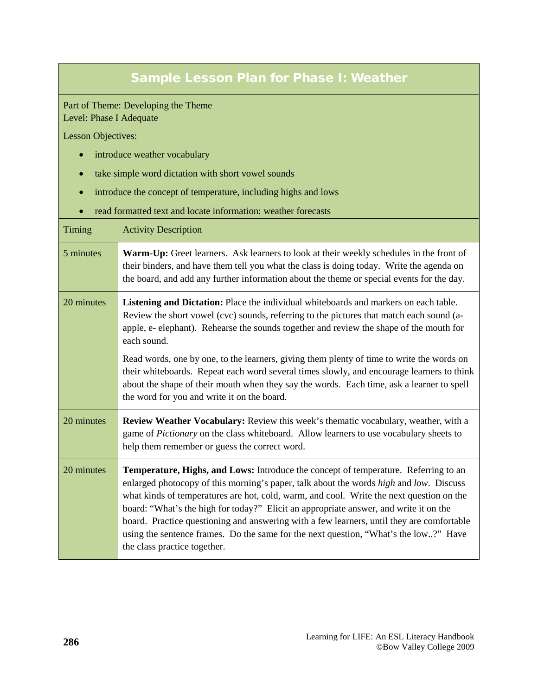#### Sample Lesson Plan for Phase I: Weather

Part of Theme: Developing the Theme Level: Phase I Adequate

Lesson Objectives:

- introduce weather vocabulary
- take simple word dictation with short vowel sounds
- introduce the concept of temperature, including highs and lows
- read formatted text and locate information: weather forecasts

| Timing     | <b>Activity Description</b>                                                                                                                                                                                                                                                                                                                                                                                                                                                                                                                                                             |
|------------|-----------------------------------------------------------------------------------------------------------------------------------------------------------------------------------------------------------------------------------------------------------------------------------------------------------------------------------------------------------------------------------------------------------------------------------------------------------------------------------------------------------------------------------------------------------------------------------------|
| 5 minutes  | Warm-Up: Greet learners. Ask learners to look at their weekly schedules in the front of<br>their binders, and have them tell you what the class is doing today. Write the agenda on<br>the board, and add any further information about the theme or special events for the day.                                                                                                                                                                                                                                                                                                        |
| 20 minutes | Listening and Dictation: Place the individual whiteboards and markers on each table.<br>Review the short vowel (cvc) sounds, referring to the pictures that match each sound (a-<br>apple, e- elephant). Rehearse the sounds together and review the shape of the mouth for<br>each sound.                                                                                                                                                                                                                                                                                              |
|            | Read words, one by one, to the learners, giving them plenty of time to write the words on<br>their whiteboards. Repeat each word several times slowly, and encourage learners to think<br>about the shape of their mouth when they say the words. Each time, ask a learner to spell<br>the word for you and write it on the board.                                                                                                                                                                                                                                                      |
| 20 minutes | Review Weather Vocabulary: Review this week's thematic vocabulary, weather, with a<br>game of Pictionary on the class whiteboard. Allow learners to use vocabulary sheets to<br>help them remember or guess the correct word.                                                                                                                                                                                                                                                                                                                                                           |
| 20 minutes | Temperature, Highs, and Lows: Introduce the concept of temperature. Referring to an<br>enlarged photocopy of this morning's paper, talk about the words high and low. Discuss<br>what kinds of temperatures are hot, cold, warm, and cool. Write the next question on the<br>board: "What's the high for today?" Elicit an appropriate answer, and write it on the<br>board. Practice questioning and answering with a few learners, until they are comfortable<br>using the sentence frames. Do the same for the next question, "What's the low?" Have<br>the class practice together. |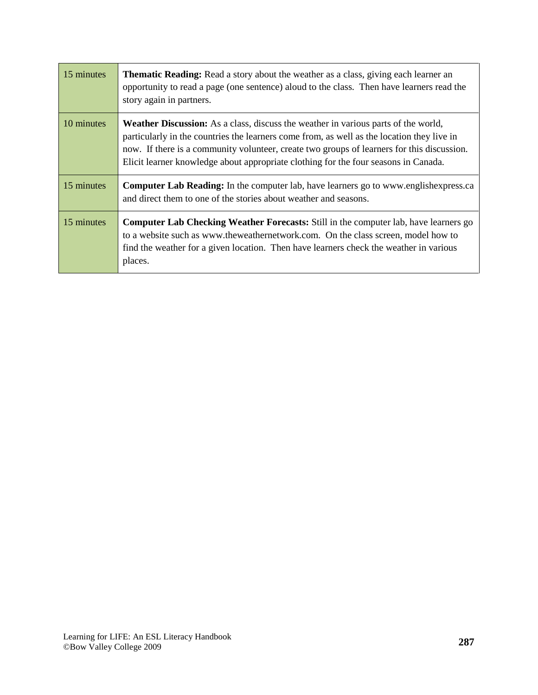| 15 minutes | <b>Thematic Reading:</b> Read a story about the weather as a class, giving each learner an<br>opportunity to read a page (one sentence) aloud to the class. Then have learners read the<br>story again in partners.                                                                                                                                                          |
|------------|------------------------------------------------------------------------------------------------------------------------------------------------------------------------------------------------------------------------------------------------------------------------------------------------------------------------------------------------------------------------------|
| 10 minutes | <b>Weather Discussion:</b> As a class, discuss the weather in various parts of the world,<br>particularly in the countries the learners come from, as well as the location they live in<br>now. If there is a community volunteer, create two groups of learners for this discussion.<br>Elicit learner knowledge about appropriate clothing for the four seasons in Canada. |
| 15 minutes | <b>Computer Lab Reading:</b> In the computer lab, have learners go to www.englishexpress.ca<br>and direct them to one of the stories about weather and seasons.                                                                                                                                                                                                              |
| 15 minutes | <b>Computer Lab Checking Weather Forecasts:</b> Still in the computer lab, have learners go<br>to a website such as www.theweathernetwork.com. On the class screen, model how to<br>find the weather for a given location. Then have learners check the weather in various<br>places.                                                                                        |